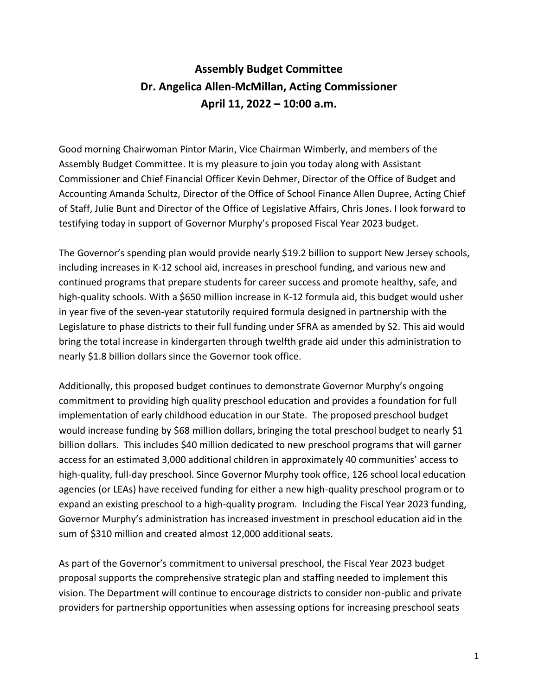## **Assembly Budget Committee Dr. Angelica Allen-McMillan, Acting Commissioner April 11, 2022 – 10:00 a.m.**

Good morning Chairwoman Pintor Marin, Vice Chairman Wimberly, and members of the Assembly Budget Committee. It is my pleasure to join you today along with Assistant Commissioner and Chief Financial Officer Kevin Dehmer, Director of the Office of Budget and Accounting Amanda Schultz, Director of the Office of School Finance Allen Dupree, Acting Chief of Staff, Julie Bunt and Director of the Office of Legislative Affairs, Chris Jones. I look forward to testifying today in support of Governor Murphy's proposed Fiscal Year 2023 budget.

The Governor's spending plan would provide nearly \$19.2 billion to support New Jersey schools, including increases in K-12 school aid, increases in preschool funding, and various new and continued programs that prepare students for career success and promote healthy, safe, and high-quality schools. With a \$650 million increase in K-12 formula aid, this budget would usher in year five of the seven-year statutorily required formula designed in partnership with the Legislature to phase districts to their full funding under SFRA as amended by S2. This aid would bring the total increase in kindergarten through twelfth grade aid under this administration to nearly \$1.8 billion dollars since the Governor took office.

Additionally, this proposed budget continues to demonstrate Governor Murphy's ongoing commitment to providing high quality preschool education and provides a foundation for full implementation of early childhood education in our State. The proposed preschool budget would increase funding by \$68 million dollars, bringing the total preschool budget to nearly \$1 billion dollars. This includes \$40 million dedicated to new preschool programs that will garner access for an estimated 3,000 additional children in approximately 40 communities' access to high-quality, full-day preschool. Since Governor Murphy took office, 126 school local education agencies (or LEAs) have received funding for either a new high-quality preschool program or to expand an existing preschool to a high-quality program. Including the Fiscal Year 2023 funding, Governor Murphy's administration has increased investment in preschool education aid in the sum of \$310 million and created almost 12,000 additional seats.

As part of the Governor's commitment to universal preschool, the Fiscal Year 2023 budget proposal supports the comprehensive strategic plan and staffing needed to implement this vision. The Department will continue to encourage districts to consider non-public and private providers for partnership opportunities when assessing options for increasing preschool seats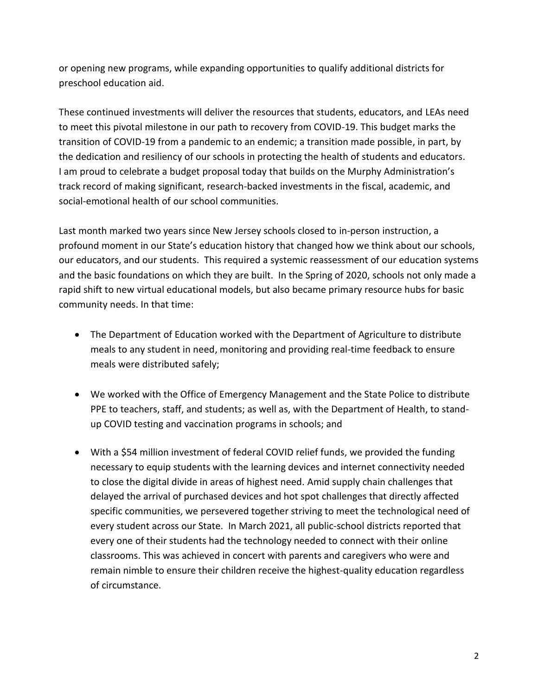or opening new programs, while expanding opportunities to qualify additional districts for preschool education aid.

These continued investments will deliver the resources that students, educators, and LEAs need to meet this pivotal milestone in our path to recovery from COVID-19. This budget marks the transition of COVID-19 from a pandemic to an endemic; a transition made possible, in part, by the dedication and resiliency of our schools in protecting the health of students and educators. I am proud to celebrate a budget proposal today that builds on the Murphy Administration's track record of making significant, research-backed investments in the fiscal, academic, and social-emotional health of our school communities.

Last month marked two years since New Jersey schools closed to in-person instruction, a profound moment in our State's education history that changed how we think about our schools, our educators, and our students. This required a systemic reassessment of our education systems and the basic foundations on which they are built. In the Spring of 2020, schools not only made a rapid shift to new virtual educational models, but also became primary resource hubs for basic community needs. In that time:

- The Department of Education worked with the Department of Agriculture to distribute meals to any student in need, monitoring and providing real-time feedback to ensure meals were distributed safely;
- We worked with the Office of Emergency Management and the State Police to distribute PPE to teachers, staff, and students; as well as, with the Department of Health, to standup COVID testing and vaccination programs in schools; and
- With a \$54 million investment of federal COVID relief funds, we provided the funding necessary to equip students with the learning devices and internet connectivity needed to close the digital divide in areas of highest need. Amid supply chain challenges that delayed the arrival of purchased devices and hot spot challenges that directly affected specific communities, we persevered together striving to meet the technological need of every student across our State. In March 2021, all public-school districts reported that every one of their students had the technology needed to connect with their online classrooms. This was achieved in concert with parents and caregivers who were and remain nimble to ensure their children receive the highest-quality education regardless of circumstance.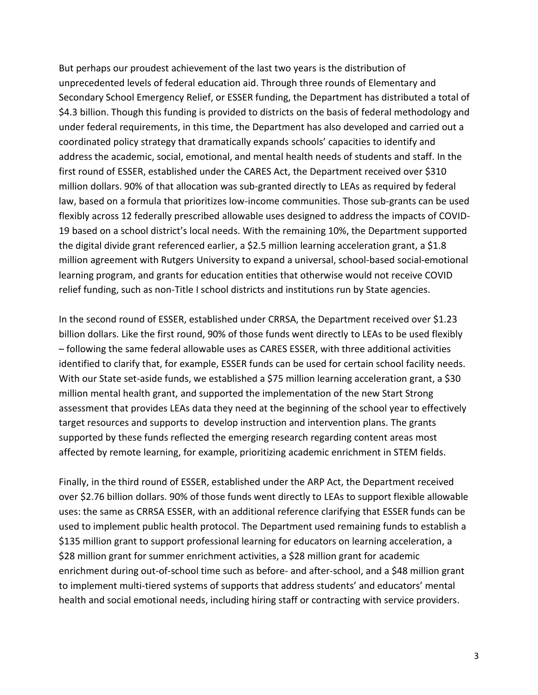But perhaps our proudest achievement of the last two years is the distribution of unprecedented levels of federal education aid. Through three rounds of Elementary and Secondary School Emergency Relief, or ESSER funding, the Department has distributed a total of \$4.3 billion. Though this funding is provided to districts on the basis of federal methodology and under federal requirements, in this time, the Department has also developed and carried out a coordinated policy strategy that dramatically expands schools' capacities to identify and address the academic, social, emotional, and mental health needs of students and staff. In the first round of ESSER, established under the CARES Act, the Department received over \$310 million dollars. 90% of that allocation was sub-granted directly to LEAs as required by federal law, based on a formula that prioritizes low-income communities. Those sub-grants can be used flexibly across 12 federally prescribed allowable uses designed to address the impacts of COVID-19 based on a school district's local needs. With the remaining 10%, the Department supported the digital divide grant referenced earlier, a \$2.5 million learning acceleration grant, a \$1.8 million agreement with Rutgers University to expand a universal, school-based social-emotional learning program, and grants for education entities that otherwise would not receive COVID relief funding, such as non-Title I school districts and institutions run by State agencies.

In the second round of ESSER, established under CRRSA, the Department received over \$1.23 billion dollars. Like the first round, 90% of those funds went directly to LEAs to be used flexibly – following the same federal allowable uses as CARES ESSER, with three additional activities identified to clarify that, for example, ESSER funds can be used for certain school facility needs. With our State set-aside funds, we established a \$75 million learning acceleration grant, a \$30 million mental health grant, and supported the implementation of the new Start Strong assessment that provides LEAs data they need at the beginning of the school year to effectively target resources and supports to develop instruction and intervention plans. The grants supported by these funds reflected the emerging research regarding content areas most affected by remote learning, for example, prioritizing academic enrichment in STEM fields.

Finally, in the third round of ESSER, established under the ARP Act, the Department received over \$2.76 billion dollars. 90% of those funds went directly to LEAs to support flexible allowable uses: the same as CRRSA ESSER, with an additional reference clarifying that ESSER funds can be used to implement public health protocol. The Department used remaining funds to establish a \$135 million grant to support professional learning for educators on learning acceleration, a \$28 million grant for summer enrichment activities, a \$28 million grant for academic enrichment during out-of-school time such as before- and after-school, and a \$48 million grant to implement multi-tiered systems of supports that address students' and educators' mental health and social emotional needs, including hiring staff or contracting with service providers.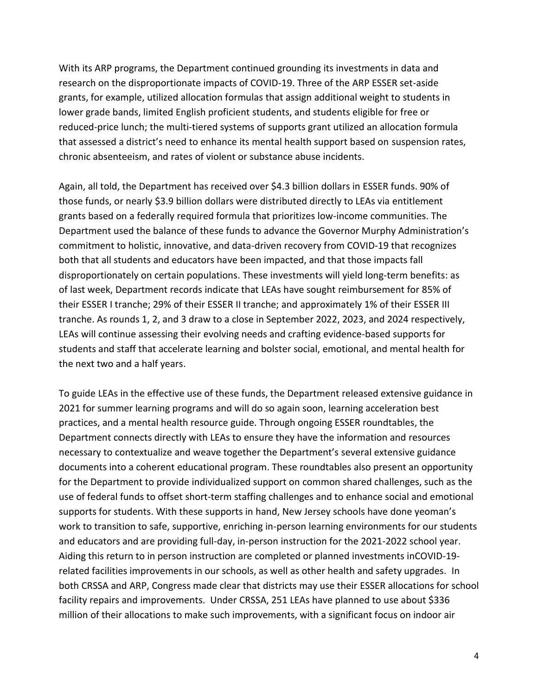With its ARP programs, the Department continued grounding its investments in data and research on the disproportionate impacts of COVID-19. Three of the ARP ESSER set-aside grants, for example, utilized allocation formulas that assign additional weight to students in lower grade bands, limited English proficient students, and students eligible for free or reduced-price lunch; the multi-tiered systems of supports grant utilized an allocation formula that assessed a district's need to enhance its mental health support based on suspension rates, chronic absenteeism, and rates of violent or substance abuse incidents.

Again, all told, the Department has received over \$4.3 billion dollars in ESSER funds. 90% of those funds, or nearly \$3.9 billion dollars were distributed directly to LEAs via entitlement grants based on a federally required formula that prioritizes low-income communities. The Department used the balance of these funds to advance the Governor Murphy Administration's commitment to holistic, innovative, and data-driven recovery from COVID-19 that recognizes both that all students and educators have been impacted, and that those impacts fall disproportionately on certain populations. These investments will yield long-term benefits: as of last week, Department records indicate that LEAs have sought reimbursement for 85% of their ESSER I tranche; 29% of their ESSER II tranche; and approximately 1% of their ESSER III tranche. As rounds 1, 2, and 3 draw to a close in September 2022, 2023, and 2024 respectively, LEAs will continue assessing their evolving needs and crafting evidence-based supports for students and staff that accelerate learning and bolster social, emotional, and mental health for the next two and a half years.

To guide LEAs in the effective use of these funds, the Department released extensive guidance in 2021 for summer learning programs and will do so again soon, learning acceleration best practices, and a mental health resource guide. Through ongoing ESSER roundtables, the Department connects directly with LEAs to ensure they have the information and resources necessary to contextualize and weave together the Department's several extensive guidance documents into a coherent educational program. These roundtables also present an opportunity for the Department to provide individualized support on common shared challenges, such as the use of federal funds to offset short-term staffing challenges and to enhance social and emotional supports for students. With these supports in hand, New Jersey schools have done yeoman's work to transition to safe, supportive, enriching in-person learning environments for our students and educators and are providing full-day, in-person instruction for the 2021-2022 school year. Aiding this return to in person instruction are completed or planned investments inCOVID-19 related facilities improvements in our schools, as well as other health and safety upgrades. In both CRSSA and ARP, Congress made clear that districts may use their ESSER allocations for school facility repairs and improvements. Under CRSSA, 251 LEAs have planned to use about \$336 million of their allocations to make such improvements, with a significant focus on indoor air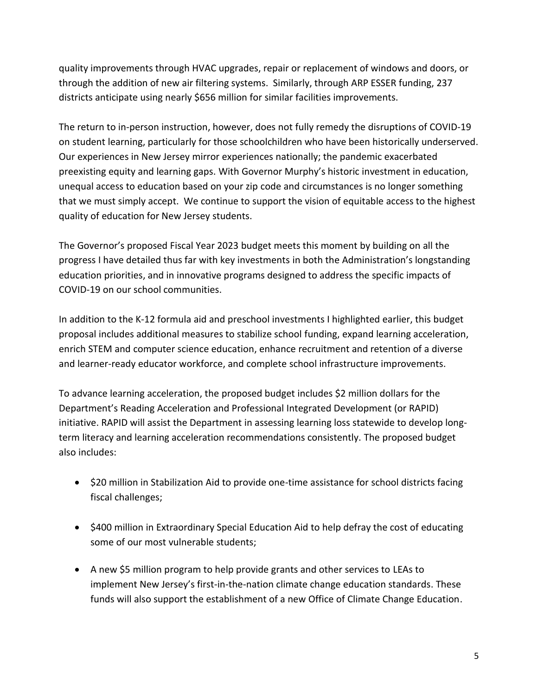quality improvements through HVAC upgrades, repair or replacement of windows and doors, or through the addition of new air filtering systems. Similarly, through ARP ESSER funding, 237 districts anticipate using nearly \$656 million for similar facilities improvements.

The return to in-person instruction, however, does not fully remedy the disruptions of COVID-19 on student learning, particularly for those schoolchildren who have been historically underserved. Our experiences in New Jersey mirror experiences nationally; the pandemic exacerbated preexisting equity and learning gaps. With Governor Murphy's historic investment in education, unequal access to education based on your zip code and circumstances is no longer something that we must simply accept. We continue to support the vision of equitable access to the highest quality of education for New Jersey students.

The Governor's proposed Fiscal Year 2023 budget meets this moment by building on all the progress I have detailed thus far with key investments in both the Administration's longstanding education priorities, and in innovative programs designed to address the specific impacts of COVID-19 on our school communities.

In addition to the K-12 formula aid and preschool investments I highlighted earlier, this budget proposal includes additional measures to stabilize school funding, expand learning acceleration, enrich STEM and computer science education, enhance recruitment and retention of a diverse and learner-ready educator workforce, and complete school infrastructure improvements.

To advance learning acceleration, the proposed budget includes \$2 million dollars for the Department's Reading Acceleration and Professional Integrated Development (or RAPID) initiative. RAPID will assist the Department in assessing learning loss statewide to develop longterm literacy and learning acceleration recommendations consistently. The proposed budget also includes:

- \$20 million in Stabilization Aid to provide one-time assistance for school districts facing fiscal challenges;
- \$400 million in Extraordinary Special Education Aid to help defray the cost of educating some of our most vulnerable students;
- A new \$5 million program to help provide grants and other services to LEAs to implement New Jersey's first-in-the-nation climate change education standards. These funds will also support the establishment of a new Office of Climate Change Education.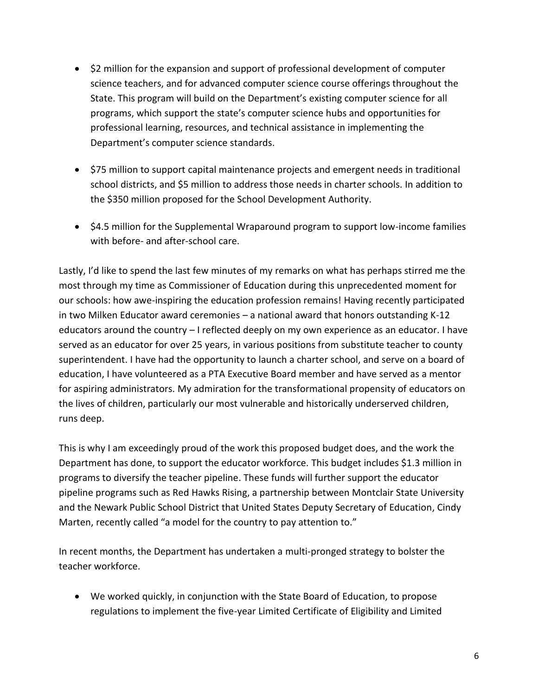- \$2 million for the expansion and support of professional development of computer science teachers, and for advanced computer science course offerings throughout the State. This program will build on the Department's existing computer science for all programs, which support the state's computer science hubs and opportunities for professional learning, resources, and technical assistance in implementing the Department's computer science standards.
- \$75 million to support capital maintenance projects and emergent needs in traditional school districts, and \$5 million to address those needs in charter schools. In addition to the \$350 million proposed for the School Development Authority.
- \$4.5 million for the Supplemental Wraparound program to support low-income families with before- and after-school care.

Lastly, I'd like to spend the last few minutes of my remarks on what has perhaps stirred me the most through my time as Commissioner of Education during this unprecedented moment for our schools: how awe-inspiring the education profession remains! Having recently participated in two Milken Educator award ceremonies – a national award that honors outstanding K-12 educators around the country – I reflected deeply on my own experience as an educator. I have served as an educator for over 25 years, in various positions from substitute teacher to county superintendent. I have had the opportunity to launch a charter school, and serve on a board of education, I have volunteered as a PTA Executive Board member and have served as a mentor for aspiring administrators. My admiration for the transformational propensity of educators on the lives of children, particularly our most vulnerable and historically underserved children, runs deep.

This is why I am exceedingly proud of the work this proposed budget does, and the work the Department has done, to support the educator workforce. This budget includes \$1.3 million in programs to diversify the teacher pipeline. These funds will further support the educator pipeline programs such as Red Hawks Rising, a partnership between Montclair State University and the Newark Public School District that United States Deputy Secretary of Education, Cindy Marten, recently called "a model for the country to pay attention to."

In recent months, the Department has undertaken a multi-pronged strategy to bolster the teacher workforce.

• We worked quickly, in conjunction with the State Board of Education, to propose regulations to implement the five-year Limited Certificate of Eligibility and Limited